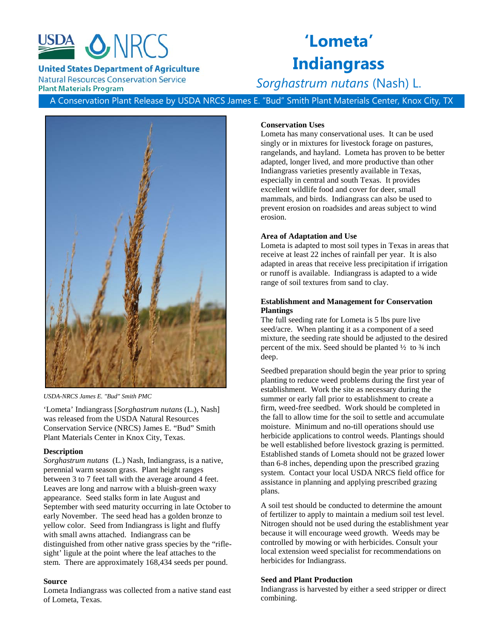

**United States Department of Agriculture** 

**Natural Resources Conservation Service Plant Materials Program** 

# **'Lometa' Indiangrass**

# *Sorghastrum nutans* (Nash) L.

A Conservation Plant Release by USDA NRCS James E. "Bud" Smith Plant Materials Center, Knox City, TX



*USDA-NRCS James E. "Bud" Smith PMC*

'Lometa' Indiangrass [*Sorghastrum nutans* (L.), Nash] was released from the USDA Natural Resources Conservation Service (NRCS) James E. "Bud" Smith Plant Materials Center in Knox City, Texas.

# **Description**

*Sorghastrum nutans* (L.) Nash, Indiangrass, is a native, perennial warm season grass. Plant height ranges between 3 to 7 feet tall with the average around 4 feet. Leaves are long and narrow with a bluish-green waxy appearance. Seed stalks form in late August and September with seed maturity occurring in late October to early November. The seed head has a golden bronze to yellow color. Seed from Indiangrass is light and fluffy with small awns attached. Indiangrass can be distinguished from other native grass species by the "riflesight' ligule at the point where the leaf attaches to the stem. There are approximately 168,434 seeds per pound.

# **Source**

Lometa Indiangrass was collected from a native stand east of Lometa, Texas.

# **Conservation Uses**

Lometa has many conservational uses. It can be used singly or in mixtures for livestock forage on pastures, rangelands, and hayland. Lometa has proven to be better adapted, longer lived, and more productive than other Indiangrass varieties presently available in Texas, especially in central and south Texas. It provides excellent wildlife food and cover for deer, small mammals, and birds. Indiangrass can also be used to prevent erosion on roadsides and areas subject to wind erosion.

#### **Area of Adaptation and Use**

Lometa is adapted to most soil types in Texas in areas that receive at least 22 inches of rainfall per year. It is also adapted in areas that receive less precipitation if irrigation or runoff is available. Indiangrass is adapted to a wide range of soil textures from sand to clay.

# **Establishment and Management for Conservation Plantings**

The full seeding rate for Lometa is 5 lbs pure live seed/acre. When planting it as a component of a seed mixture, the seeding rate should be adjusted to the desired percent of the mix. Seed should be planted  $\frac{1}{2}$  to  $\frac{3}{4}$  inch deep.

Seedbed preparation should begin the year prior to spring planting to reduce weed problems during the first year of establishment. Work the site as necessary during the summer or early fall prior to establishment to create a firm, weed-free seedbed. Work should be completed in the fall to allow time for the soil to settle and accumulate moisture. Minimum and no-till operations should use herbicide applications to control weeds. Plantings should be well established before livestock grazing is permitted. Established stands of Lometa should not be grazed lower than 6-8 inches, depending upon the prescribed grazing system. Contact your local USDA NRCS field office for assistance in planning and applying prescribed grazing plans.

A soil test should be conducted to determine the amount of fertilizer to apply to maintain a medium soil test level. Nitrogen should not be used during the establishment year because it will encourage weed growth. Weeds may be controlled by mowing or with herbicides. Consult your local extension weed specialist for recommendations on herbicides for Indiangrass.

#### **Seed and Plant Production**

Indiangrass is harvested by either a seed stripper or direct combining.